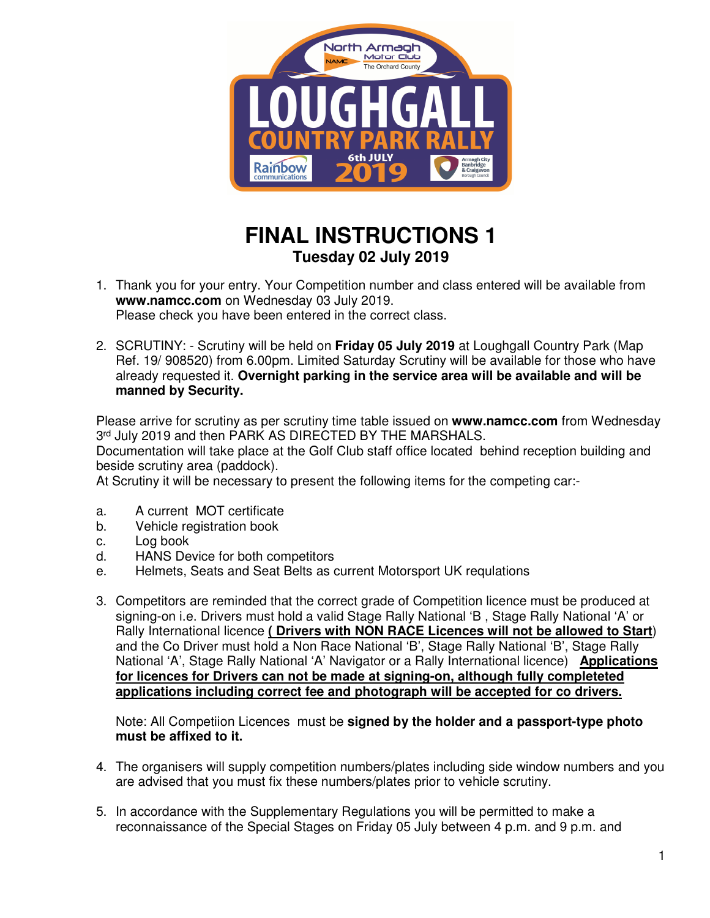

## **FINAL INSTRUCTIONS 1 Tuesday 02 July 2019**

- 1. Thank you for your entry. Your Competition number and class entered will be available from **www.namcc.com** on Wednesday 03 July 2019. Please check you have been entered in the correct class.
- 2. SCRUTINY: Scrutiny will be held on **Friday 05 July 2019** at Loughgall Country Park (Map Ref. 19/ 908520) from 6.00pm. Limited Saturday Scrutiny will be available for those who have already requested it. **Overnight parking in the service area will be available and will be manned by Security.**

Please arrive for scrutiny as per scrutiny time table issued on **www.namcc.com** from Wednesday 3 rd July 2019 and then PARK AS DIRECTED BY THE MARSHALS.

Documentation will take place at the Golf Club staff office located behind reception building and beside scrutiny area (paddock).

At Scrutiny it will be necessary to present the following items for the competing car:-

- a. A current MOT certificate
- b. Vehicle registration book
- c. Log book
- d. HANS Device for both competitors
- e. Helmets, Seats and Seat Belts as current Motorsport UK requlations
- 3. Competitors are reminded that the correct grade of Competition licence must be produced at signing-on i.e. Drivers must hold a valid Stage Rally National 'B , Stage Rally National 'A' or Rally International licence **( Drivers with NON RACE Licences will not be allowed to Start**) and the Co Driver must hold a Non Race National 'B', Stage Rally National 'B', Stage Rally National 'A', Stage Rally National 'A' Navigator or a Rally International licence) **Applications for licences for Drivers can not be made at signing-on, although fully completeted applications including correct fee and photograph will be accepted for co drivers.**

Note: All Competiion Licences must be **signed by the holder and a passport-type photo must be affixed to it.** 

- 4. The organisers will supply competition numbers/plates including side window numbers and you are advised that you must fix these numbers/plates prior to vehicle scrutiny.
- 5. In accordance with the Supplementary Regulations you will be permitted to make a reconnaissance of the Special Stages on Friday 05 July between 4 p.m. and 9 p.m. and